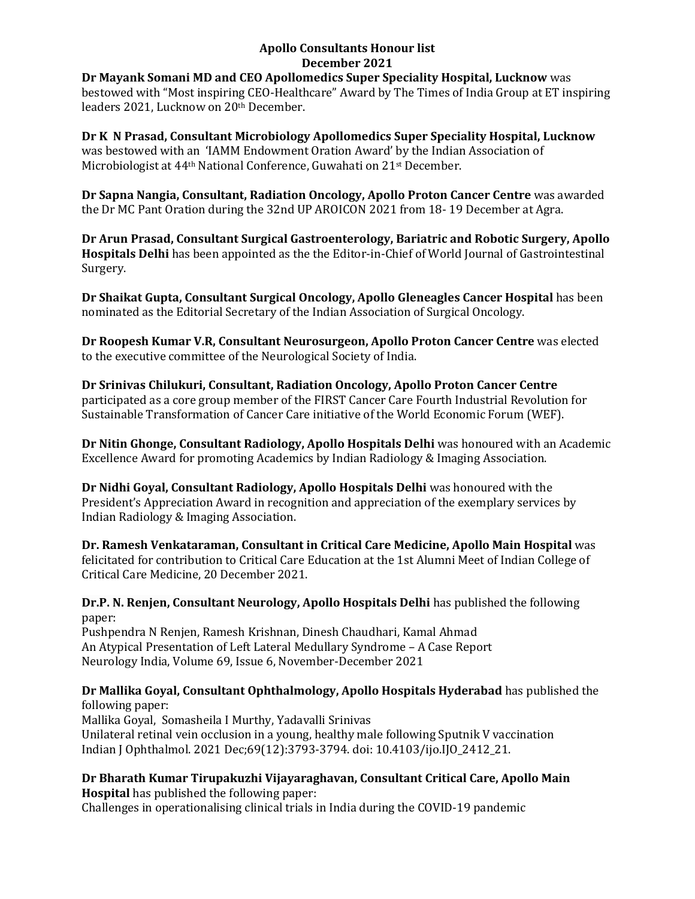#### **Apollo Consultants Honour list December 2021**

**Dr Mayank Somani MD and CEO Apollomedics Super Speciality Hospital, Lucknow** was bestowed with "Most inspiring CEO-Healthcare" Award by The Times of India Group at ET inspiring leaders 2021, Lucknow on 20th December.

**Dr K N Prasad, Consultant Microbiology Apollomedics Super Speciality Hospital, Lucknow** was bestowed with an 'IAMM Endowment Oration Award' by the Indian Association of Microbiologist at 44th National Conference, Guwahati on 21st December.

**Dr Sapna Nangia, Consultant, Radiation Oncology, Apollo Proton Cancer Centre** was awarded the Dr MC Pant Oration during the 32nd UP AROICON 2021 from 18- 19 December at Agra.

**Dr Arun Prasad, Consultant Surgical Gastroenterology, Bariatric and Robotic Surgery, Apollo Hospitals Delhi** has been appointed as the the Editor-in-Chief of World Journal of Gastrointestinal Surgery.

**Dr Shaikat Gupta, Consultant Surgical Oncology, Apollo Gleneagles Cancer Hospital** has been nominated as the Editorial Secretary of the Indian Association of Surgical Oncology.

**Dr Roopesh Kumar V.R, Consultant Neurosurgeon, Apollo Proton Cancer Centre** was elected to the executive committee of the Neurological Society of India.

**Dr Srinivas Chilukuri, Consultant, Radiation Oncology, Apollo Proton Cancer Centre** participated as a core group member of the FIRST Cancer Care Fourth Industrial Revolution for Sustainable Transformation of Cancer Care initiative of the World Economic Forum (WEF).

**Dr Nitin Ghonge, Consultant Radiology, Apollo Hospitals Delhi** was honoured with an Academic Excellence Award for promoting Academics by Indian Radiology & Imaging Association.

**Dr Nidhi Goyal, Consultant Radiology, Apollo Hospitals Delhi** was honoured with the President's Appreciation Award in recognition and appreciation of the exemplary services by Indian Radiology & Imaging Association.

**Dr. Ramesh Venkataraman, Consultant in Critical Care Medicine, Apollo Main Hospital** was felicitated for contribution to Critical Care Education at the 1st Alumni Meet of Indian College of Critical Care Medicine, 20 December 2021.

**Dr.P. N. Renjen, Consultant Neurology, Apollo Hospitals Delhi** has published the following paper:

Pushpendra N Renjen, Ramesh Krishnan, Dinesh Chaudhari, Kamal Ahmad An Atypical Presentation of Left Lateral Medullary Syndrome – A Case Report Neurology India, Volume 69, Issue 6, November-December 2021

## **Dr Mallika Goyal, Consultant Ophthalmology, Apollo Hospitals Hyderabad** has published the following paper:

[Mallika Goyal,](https://apc01.safelinks.protection.outlook.com/?url=https%3A%2F%2Fpubmed.ncbi.nlm.nih.gov%2F%3Fterm%3DGoyal%2BM%26cauthor_id%3D34827059&data=04%7C01%7Cdranil_t%40apollohospitalsdelhi.com%7C5f03a1a2401848c3e05408d9dc9e5c19%7C6a4994b0b5fa40878c728214c8b7bc21%7C0%7C0%7C637783394973906740%7CUnknown%7CTWFpbGZsb3d8eyJWIjoiMC4wLjAwMDAiLCJQIjoiV2luMzIiLCJBTiI6Ik1haWwiLCJXVCI6Mn0%3D%7C3000&sdata=xUYggrtekZv7W6VwZJL02v9knn7TNvTKQ0r7SLrz9mo%3D&reserved=0) [Somasheila I Murthy,](https://apc01.safelinks.protection.outlook.com/?url=https%3A%2F%2Fpubmed.ncbi.nlm.nih.gov%2F%3Fterm%3DMurthy%2BSI%26cauthor_id%3D34827059&data=04%7C01%7Cdranil_t%40apollohospitalsdelhi.com%7C5f03a1a2401848c3e05408d9dc9e5c19%7C6a4994b0b5fa40878c728214c8b7bc21%7C0%7C0%7C637783394973906740%7CUnknown%7CTWFpbGZsb3d8eyJWIjoiMC4wLjAwMDAiLCJQIjoiV2luMzIiLCJBTiI6Ik1haWwiLCJXVCI6Mn0%3D%7C3000&sdata=Zub6R4LWggI7O%2BfdLpbdWRP2OrgiWpA1cYBtydrPMu8%3D&reserved=0) [Yadavalli Srinivas](https://apc01.safelinks.protection.outlook.com/?url=https%3A%2F%2Fpubmed.ncbi.nlm.nih.gov%2F%3Fterm%3DSrinivas%2BY%26cauthor_id%3D34827059&data=04%7C01%7Cdranil_t%40apollohospitalsdelhi.com%7C5f03a1a2401848c3e05408d9dc9e5c19%7C6a4994b0b5fa40878c728214c8b7bc21%7C0%7C0%7C637783394973906740%7CUnknown%7CTWFpbGZsb3d8eyJWIjoiMC4wLjAwMDAiLCJQIjoiV2luMzIiLCJBTiI6Ik1haWwiLCJXVCI6Mn0%3D%7C3000&sdata=GGYkDnDPZaN75UWKAIJkfqvjimcmBcFiomVMEUAyBl4%3D&reserved=0) Unilateral retinal vein occlusion in a young, healthy male following Sputnik V vaccination Indian J Ophthalmol. 2021 Dec;69(12):3793-3794. doi: 10.4103/ijo.IJO\_2412\_21.

# **Dr Bharath Kumar Tirupakuzhi Vijayaraghavan, Consultant Critical Care, Apollo Main**

**Hospital** has published the following paper: Challenges in operationalising clinical trials in India during the COVID-19 pandemic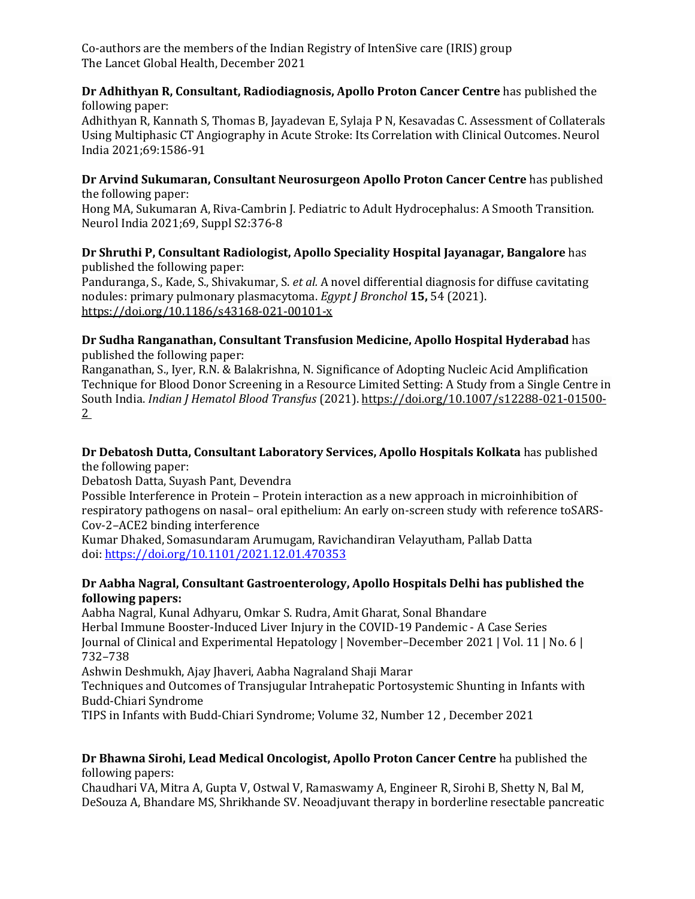Co-authors are the members of the Indian Registry of IntenSive care (IRIS) group The Lancet Global Health, December 2021

#### **Dr Adhithyan R, Consultant, Radiodiagnosis, Apollo Proton Cancer Centre** has published the following paper:

Adhithyan R, Kannath S, Thomas B, Jayadevan E, Sylaja P N, Kesavadas C. Assessment of Collaterals Using Multiphasic CT Angiography in Acute Stroke: Its Correlation with Clinical Outcomes. Neurol India 2021;69:1586-91

**Dr Arvind Sukumaran, Consultant Neurosurgeon Apollo Proton Cancer Centre** has published the following paper:

Hong MA, Sukumaran A, Riva-Cambrin J. Pediatric to Adult Hydrocephalus: A Smooth Transition. Neurol India 2021;69, Suppl S2:376-8

**Dr Shruthi P, Consultant Radiologist, Apollo Speciality Hospital Jayanagar, Bangalore** has published the following paper:

Panduranga, S., Kade, S., Shivakumar, S. *et al.* A novel differential diagnosis for diffuse cavitating nodules: primary pulmonary plasmacytoma. *Egypt J Bronchol* **15,** 54 (2021). [https://doi.org/10.1186/s43168-021-00101-x](https://apc01.safelinks.protection.outlook.com/?url=https%3A%2F%2Fdoi.org%2F10.1186%2Fs43168-021-00101-x&data=04%7C01%7Cdranil_t%40apollohospitalsdelhi.com%7C5f03a1a2401848c3e05408d9dc9e5c19%7C6a4994b0b5fa40878c728214c8b7bc21%7C0%7C0%7C637783394973906740%7CUnknown%7CTWFpbGZsb3d8eyJWIjoiMC4wLjAwMDAiLCJQIjoiV2luMzIiLCJBTiI6Ik1haWwiLCJXVCI6Mn0%3D%7C3000&sdata=%2FJ3Zgr5Q3aIxkHj1tCJAb1oA%2F5FD1Ej%2FkQ5w8KIbc%2Fg%3D&reserved=0)

**Dr Sudha Ranganathan, Consultant Transfusion Medicine, Apollo Hospital Hyderabad** has published the following paper:

Ranganathan, S., Iyer, R.N. & Balakrishna, N. Significance of Adopting Nucleic Acid Amplification Technique for Blood Donor Screening in a Resource Limited Setting: A Study from a Single Centre in South India. *Indian J Hematol Blood Transfus* (2021). [https://doi.org/10.1007/s12288-021-01500-](https://apc01.safelinks.protection.outlook.com/?url=https%3A%2F%2Fdoi.org%2F10.1007%2Fs12288-021-01500-2&data=04%7C01%7Cdranil_t%40apollohospitalsdelhi.com%7C5f03a1a2401848c3e05408d9dc9e5c19%7C6a4994b0b5fa40878c728214c8b7bc21%7C0%7C0%7C637783394973906740%7CUnknown%7CTWFpbGZsb3d8eyJWIjoiMC4wLjAwMDAiLCJQIjoiV2luMzIiLCJBTiI6Ik1haWwiLCJXVCI6Mn0%3D%7C3000&sdata=qO3EZp7hsQGVWmWuVQSgKWljANqCLShjsqE174Xonh4%3D&reserved=0) [2](https://apc01.safelinks.protection.outlook.com/?url=https%3A%2F%2Fdoi.org%2F10.1007%2Fs12288-021-01500-2&data=04%7C01%7Cdranil_t%40apollohospitalsdelhi.com%7C5f03a1a2401848c3e05408d9dc9e5c19%7C6a4994b0b5fa40878c728214c8b7bc21%7C0%7C0%7C637783394973906740%7CUnknown%7CTWFpbGZsb3d8eyJWIjoiMC4wLjAwMDAiLCJQIjoiV2luMzIiLCJBTiI6Ik1haWwiLCJXVCI6Mn0%3D%7C3000&sdata=qO3EZp7hsQGVWmWuVQSgKWljANqCLShjsqE174Xonh4%3D&reserved=0)

## **Dr Debatosh Dutta, Consultant Laboratory Services, Apollo Hospitals Kolkata** has published the following paper:

Debatosh Datta, Suyash Pant, Devendra

Possible Interference in Protein – Protein interaction as a new approach in microinhibition of respiratory pathogens on nasal– oral epithelium: An early on-screen study with reference toSARS-Cov-2–ACE2 binding interference

Kumar Dhaked, Somasundaram Arumugam, Ravichandiran Velayutham, Pallab Datta doi: [https://doi.org/10.1101/2021.12.01.470353](https://apc01.safelinks.protection.outlook.com/?url=https%3A%2F%2Fdoi.org%2F10.1101%2F2021.12.01.470353&data=04%7C01%7Cdranil_t%40apollohospitalsdelhi.com%7C5f03a1a2401848c3e05408d9dc9e5c19%7C6a4994b0b5fa40878c728214c8b7bc21%7C0%7C0%7C637783394973906740%7CUnknown%7CTWFpbGZsb3d8eyJWIjoiMC4wLjAwMDAiLCJQIjoiV2luMzIiLCJBTiI6Ik1haWwiLCJXVCI6Mn0%3D%7C3000&sdata=W62MLMXr1ficU0trEhE87VzGBmnwnDfMApbpKwBnDrU%3D&reserved=0)

# **Dr Aabha Nagral, Consultant Gastroenterology, Apollo Hospitals Delhi has published the following papers:**

Aabha Nagral, Kunal Adhyaru, Omkar S. Rudra, Amit Gharat, Sonal Bhandare Herbal Immune Booster-Induced Liver Injury in the COVID-19 Pandemic - A Case Series Journal of Clinical and Experimental Hepatology | November–December 2021 | Vol. 11 | No. 6 | 732–738

Ashwin Deshmukh, Ajay Jhaveri, Aabha Nagraland Shaji Marar

Techniques and Outcomes of Transjugular Intrahepatic Portosystemic Shunting in Infants with Budd-Chiari Syndrome

TIPS in Infants with Budd-Chiari Syndrome; Volume 32, Number 12 , December 2021

## **Dr Bhawna Sirohi, Lead Medical Oncologist, Apollo Proton Cancer Centre** ha published the following papers:

Chaudhari VA, Mitra A, Gupta V, Ostwal V, Ramaswamy A, Engineer R, Sirohi B, Shetty N, Bal M, DeSouza A, Bhandare MS, Shrikhande SV. Neoadjuvant therapy in borderline resectable pancreatic